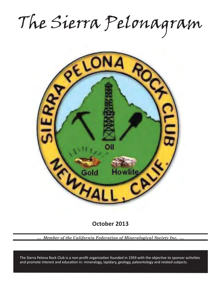The Sierra Pelonagram



**October 2013**

*… Member of the California Federation of Mineralogical Society Inc. …*

and promote interest and education in: mineralogy, lapidary, geology, paleontology and related subjects. The Sierra Pelona Rock Club is a non-profit organization founded in 1959 with the objective to sponsor activities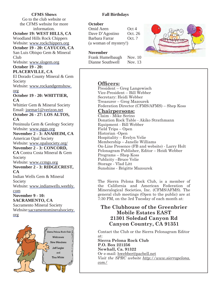### **CFMS Shows**

Go to the club website or the CFMS website for more information.

#### **October 19: WEST HILLS, CA** Woodland Hills Rock Chippers

Website: www.rockchippers.org **October 19 - 20: CAYUCOS, CA**

San Luis Obispo Gem & Mineral Club

Website: www.slogem.org **October 19 - 20:** 

## **PLACERVILLE, CA**

El Dorado County Mineral & Gem Society

Website: www.rockandgemshow. org

### **October 19 - 20: WHITTIER, CA**

Whittier Gem & Mineral Society Email: joemar1@verizon.net **October 26 - 27: LOS ALTOS,** 

**CA**

Peninsula Gem & Geology Society Website: www.pggs.org

### **November 2 - 3: ANAHEIM, CA** American Opal Society Website: www.opalsociety.org/ **November 2 - 3: CONCORD, CA** Contra Costa Mineral & Gem Society Website: www.ccmgs.org **November 2 - 3: RIDGECREST, CA**

Indian Wells Gem & Mineral Society Website: www.indianwells.weebly. com

# **November 9 - 10:**

**SACRAMENTO, CA** Sacramento Mineral Society Website:sacramentomineralsociety. org



## **Fall Birthdays**

### **October**

Omid Aeen Oct 4 Dave D'Agostino Oct. 26 Barbara Farrar Oct. ? (a woman of mystery!)

### **November**

Frank Humelbaugh Nov. 10 Dianne Southwell Nov. 13

# **Officers:**

President – Greg Langewisch Vice-President – Bill Webber Secretary: Heidi Webber Treasurer – Greg Mazourek Federation Director (CFMS/AFMS) – Shep Koss

## **Chairpersons:**

Claim - Mike Serino Donation Rock Table - Akiko Strathmann Equipment - Bill Webber Field Trips – Open Historian -Open Hospitality – Evelyn Velie Membership – Janelle Williams On-Line Presence (FB and website) - Larry Holt Pelonagram Publisher, Editor – Heidi Webber Programs – Shep Koss Publicity –Bruce Velie Storage - Vlad Litt Sunshine - Brigitte Mazourek

The Sierra Pelona Rock Club, is a member of the California and American Federation of Mineralogical Societies, Inc. (CFMS/AFMS). The general club meetings (Open to the public) are at 7:30 PM, on the 3rd Tuesday of each month at:

# **The Clubhouse of the Greenbrier Mobile Estates EAST 21301 Soledad Canyon Rd Canyon Country, CA 91351**

Contact the Club or the Sierra Pelonagram Editor at:

**Sierra Pelona Rock Club P.O. Box 221256 Newhall, Ca. 91322** Or e-mail: hwebber@pacbell.net *Visit the SPRC website http://www.sierrapelona. com/*

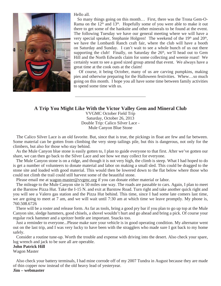

Hello all.

 So many things going on this month… First, there was the Trona Gem-O-Rama on the  $12<sup>th</sup>$  and  $13<sup>th</sup>$ . Hopefully some of you were able to make it out there to get some of the hanksite and other minerals to be found at the event. The following Tuesday we have our general meeting where we will have a very special speaker, Stephanie Holgren! The weekend of the  $19<sup>th</sup>$  and  $20<sup>th</sup>$ , we have the Lombardi Ranch craft fair, where the club will have a booth on Saturday and Sunday. I can't wait to see a whole bunch of us out there supporting the club! Finally, on Saturday the  $26<sup>th</sup>$ , we'll head out to Gem Hill and the North Edwards claim for some collecting and weenie roast! We certainly want to see a good sized group attend that event. We always have a great time at the cook outs at the claim!

 Of course, it being October, many of us are carving pumpkins, making pies and otherwise preparing for the Halloween festivities. Whew…so much going on this month. I hope you all have some time between family activities to spend some time with us.

### **A Trip You Might Like With the Victor Valley Gem and Mineral Club**

VVGMC October Field Trip Saturday, October 26, 2013 Double Trip: Calico Silver Lace - Mule Canyon Blue Stone

 The Calico Silver Lace is an old favorite. But, since that is true, the pickings in float are few and far between. Some material can be gotten from climbing the very steep tailings pile, but this is dangerous, not only for the climbers, but also for those who stay behind.

 As the Mule Canyon blue stone is easily gotten to, I plan to guide everyone to that first. After we've gotten our share, we can then go back to the Silver Lace and see how we may collect for everyone.

 The Mule Canyon stone is on a ridge, and though it is not very high, the climb is steep. What I had hoped to do is get a number of volunteers to donate material and labor on making a small sled. This could be dragged to the stone site and loaded with good material. This would then be lowered down to the flat below where those who could not climb the trail could still harvest some of the beautiful stone.

Please email me at wagon-master@vvgmc.org if you can donate either material or labor.

 The mileage to the Mule Canyon site is 50 miles one way. The roads are passable to cars. Again, I plan to meet at the Barstow Pizza Hut. Take the I-15 N. and exit at Barstow Road. Turn right and take another quick right and you will see a Valero gas station and the Pizza Hut behind. This time, since I had some late comers last time, we are going to meet at 7 am, and we will wait until 7:30 am at which time we leave promptly. My phone is, 760.508.6726

 There will be a roster and release form. As far as tools, bring a good pry bar if you plan to go up top at the Mule Canyon site, sledge hammers, good chisels, a shovel wouldn't hurt and go ahead and bring a pick. Of course your regular rock hammer and a spritzer bottle are important. Snacks too.

 Just a reminder to everyone...Please make sure your vehicle is in good operating condition. My alternator went out on the last trip, and I was very lucky to have been with the stragglers who made sure I got back to my home safely.

 Consider a routine tune-up. Worth the trouble and expense with driving into the desert. Also check your spare, lug wrench and jack to be sure all are operable.

#### **John Patrick Hill**

Wagon Master

 Also check your battery terminals, I had mine corrode off of my 2007 Tundra in August because they are made of thin copper now instead of the old heavy lead of yesteryear.

**Jim – webmaster**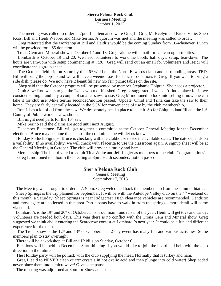#### **Sierra Pelona Rock Club** Business Meeting October 1, 2013

 The meeting was called to order at 7pm. In attendance were Greg L, Greg M, Evelyn and Bruce Velie, Shep Koss, Bill and Heidi Webber and Mike Serino. A quorum was met and the meeting was called to order.

 Greg reiterated that the workshop at Bill and Heidi's would be the coming Sunday from 10-whenever. Lunch will be provided for a \$5 donation.

Trona Gem and Mineral show is October 12 and 13. Greg said he will email for caravan opportunities.

 Lombardi is October 19 and 20. We need volunteers to work the booth, half days, setup, tear-down. The hours are 9am-6pm with setup commencing at 7:30. Greg will send out an email for volunteers and Heidi will coordinate the sign-up sheet.

The October field trip on Saturday the  $26<sup>th</sup>$  will be at the North Edwards claim and surrounding areas, TBD. Bill will bring the pop-up and we will have a weenie roast for lunch—donations to Greg. If you want to bring a side dish, please do. We now have 2 beautiful new (so far) picnic tables on the site.

Shep said that the October program will be presented by member Stephanie Holgren. She needs a projector.

 Club Saw: Ron wants to get the 24" saw out of his shed. Greg L. suggested if we can't find a place for it, we consider selling it and buy a couple of smaller saws to use. Greg M motioned to look into selling if now one can take it for club use. Mike Serino seconded/motion passed. (Update: Omid and Trina can take the saw to their home. They are fairly centrally located in the SCV for convenience of use by the club membership).

 Ron L has a lot of oil from the saw. We desperately need a place to take it. So far Chiquita landfill and the LA County of Public works is a washout.

Bill might need parts for the 10" saw.

Mike Serino said the claims are good until next August.

 December Elections: Bill will get together a committee at the October General Meeting for the December elections. Bruce may become the chair of the committee, he will let us know.

 Holiday Potluck Signups: Bruce is checking with the clubhouse to see the available dates. The date depends on a vailability. If no availability, we will check with Placerita to use the classroom again. A signup sheet will be at the General Meeting in October. The club will provide a turkey and ham.

 Membership: The board voted to admit Tina White and Jeff Legler as members to the club. Congratulations! Greg L motioned to adjourn the meeting at 8pm. Heidi seconded/motion passed.

## **Sierra Pelona Rock Club**

General Meeting

September 17, 2013

The Meeting was brought to order at 7:40pm. Greg welcomed back the membership from the summer hiatus.

Sheep Springs is the trip planned for September. It will be with the Antelope Valley club on the 4<sup>th</sup> weekend of this month, a Saturday. Sheep Springs is near Ridgecrest. High clearance vehicles are recommended. Dendritic and moss agate are collected in that area. Participants have to walk in from the springs—more detail will come via email.

Lombardi's is the 19<sup>th</sup> and 20<sup>th</sup> of October. This is our main fund raiser of the year. Heidi will get toys and candy. Volunteers are needed both days. This year there is no conflict with the Trona Gem and Mineral show. Greg suggested we think about entering the Scarecrow contest at Lombardi's next year. It could be a fun and different experience for the club.

The Trona show is the  $12<sup>th</sup>$  and  $13<sup>th</sup>$  of October. The 2-day event has many fun and various activities. Some members plan to stay overnight.

There will be a workshop at Bill and Heidi's on Sunday, October 6.

 Elections will be held in December. Start thinking if you would like to join the board and help with the club direction in the future.

The Holiday party will be potluck with the club supplying the meat. Normally that is turkey and ham.

 Greg L said to NEVER clean quartz crystals in hot oxalic acid and then plunge into cold water! Shep added never place them into a microwave! Gives one pause…

The meeting was adjourned at 8pm for Show and Tell.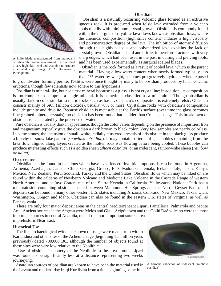

A knife blade manufactured from mahogany obsidian. The craftsman who made this blade had a very high skill level and was able to produce a serrated edge. Image © Al Braunworth, iStockphoto.

#### **Obsidian**

Obsidian is a naturally occurring volcanic glass formed as an extrusive igneous rock. It is produced when felsic lava extruded from a volcano cools rapidly with minimum crystal growth. Obsidian is commonly found within the margins of rhyolitic lava flows known as obsidian flows, where the chemical composition (high silica content) induces a high viscosity and polymerization degree of the lava. The inhibition of atomic diffusion through this highly viscous and polymerized lava explains the lack of crystal growth. Obsidian is hard and brittle; it therefore fractures with very sharp edges, which had been used in the past in cutting and piercing tools, and has been used experimentally as surgical scalpel blades.

 Obsidian is the rock formed as a result of cooled lava, which is the parent material. Having a low water content when newly formed typically less than 1% water by weight, becomes progressively hydrated when exposed

to groundwater, forming perlite. Tektites were once thought by many to be obsidian produced by lunar volcanic eruptions, though few scientists now adhere to this hypothesis.

 Obsidian is mineral-like, but not a true mineral because as a glass it is not crystalline; in addition, its composition is too complex to comprise a single mineral. It is sometimes classified as a mineraloid. Though obsidian is usually dark in color similar to mafic rocks such as basalt, obsidian's composition is extremely felsic. Obsidian consists mainly of SiO<sub>2</sub> (silicon dioxide), usually 70% or more. Crystalline rocks with obsidian's composition include granite and rhyolite. Because obsidian is metastable at the Earth's surface (over time the glass becomes fine-grained mineral crystals), no obsidian has been found that is older than Cretaceous age. This breakdown of obsidian is accelerated by the presence of water.

 Pure obsidian is usually dark in appearance, though the color varies depending on the presence of impurities. Iron and magnesium typically give the obsidian a dark brown to black color. Very few samples are nearly colorless. In some stones, the inclusion of small, white, radially clustered crystals of cristobalite in the black glass produce a blotchy or snowflake pattern (*snowflake obsidian*). It may contain patterns of gas bubbles remaining from the lava flow, aligned along layers created as the molten rock was flowing before being cooled. These bubbles can produce interesting effects such as a golden sheen (*sheen obsidian*) or an iridescent, rainbow-like sheen (*rainbow obsidian*).

#### **Occurrence**

 Obsidian can be found in locations which have experienced rhyolitic eruptions. It can be found in Argentina, Armenia, Azerbaijan, Canada, Chile, Georgia, Greece, El Salvador, Guatemala, Iceland, Italy, Japan, Kenya, Mexico, New Zealand, Peru, Scotland, Turkey and the United States. Obsidian flows which may be hiked on are found within the calderas of Newberry Volcano and Medicine Lake Volcano in the Cascade Range of western North America, and at Inyo Craters east of the Sierra Nevada in California. Yellowstone National Park has a mountainside containing obsidian located between Mammoth Hot Springs and the Norris Geyser Basin, and deposits can be found in many other western U.S. states including Arizona, Colorado, New Mexico, Texas, Utah, Washington, Oregon and Idaho. Obsidian can also be found in the eastern U.S. states of Virginia, as well as Pennsylvania.

 There are only four major deposit areas in the central Mediterranean: Lipari, Pantelleria, Palmarola and Monte Arci. Ancient sources in the Aegean were Melos and Giali. Acigöl town and the Göllü Dað volcano were the most important sources in central Anatolia, one of the more important source areas in prehistoric Near East.

#### **Historical Use**

 The first archaeological evidence known of usage were made from within Kariandusi and other sites of the Acheulian age (beginning 1.5 million years previously) dated 700,000 BC, although the number of objects found at these sites were very low relative to the Neolithic.

 Use of obsidian in pottery of the Neolithic in the area around Lipari was found to be significantly less at a distance representing two weeks journeying.

 Anatolian sources of obsidian are known to have been the material used in the Levant and modern-day Iraqi Kurdistan from a time beginning sometime



A baroque cabochon of iridescent "rainbow obsidian".